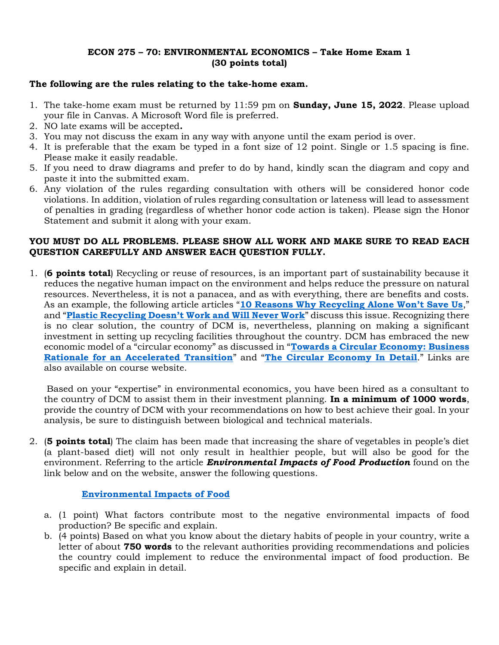## **ECON 275 – 70: ENVIRONMENTAL ECONOMICS – Take Home Exam 1 (30 points total)**

## **The following are the rules relating to the take-home exam.**

- 1. The take-home exam must be returned by 11:59 pm on **Sunday, June 15, 2022**. Please upload your file in Canvas. A Microsoft Word file is preferred.
- 2. NO late exams will be accepted**.**
- 3. You may not discuss the exam in any way with anyone until the exam period is over.
- 4. It is preferable that the exam be typed in a font size of 12 point. Single or 1.5 spacing is fine. Please make it easily readable.
- 5. If you need to draw diagrams and prefer to do by hand, kindly scan the diagram and copy and paste it into the submitted exam.
- 6. Any violation of the rules regarding consultation with others will be considered honor code violations. In addition, violation of rules regarding consultation or lateness will lead to assessment of penalties in grading (regardless of whether honor code action is taken). Please sign the Honor Statement and submit it along with your exam.

## **YOU MUST DO ALL PROBLEMS. PLEASE SHOW ALL WORK AND MAKE SURE TO READ EACH QUESTION CAREFULLY AND ANSWER EACH QUESTION FULLY.**

1. (**6 points total**) Recycling or reuse of resources, is an important part of sustainability because it reduces the negative human impact on the environment and helps reduce the pressure on natural resources. Nevertheless, it is not a panacea, and as with everything, there are benefits and costs. As an example, the following article articles "**[10 Reasons Why Recycling Alone Won't Save Us](https://theeverydayenvironmentalist.com/10-reasons-why-recycling-alone-wont-save-us/)**," and "**[Plastic Recycling Doesn't Work and Will Never Work](https://www.theatlantic.com/ideas/archive/2022/05/single-use-plastic-chemical-recycling-disposal/661141/)**" discuss this issue. Recognizing there is no clear solution, the country of DCM is, nevertheless, planning on making a significant investment in setting up recycling facilities throughout the country. DCM has embraced the new economic model of a "circular economy" as discussed in "**[Towards a Circular Economy: Business](file:///C:/aamccornac/AECON275Summer22/Exams/Exam1/TCE_Ellen-MacArthur-Foundation_9-Dec-2015.pdf)  [Rationale for an Accelerated Transition](file:///C:/aamccornac/AECON275Summer22/Exams/Exam1/TCE_Ellen-MacArthur-Foundation_9-Dec-2015.pdf)**" and "**[The Circular Economy In Detail](https://www.ellenmacarthurfoundation.org/explore/the-circular-economy-in-detail)**." Links are also available on course website.

Based on your "expertise" in environmental economics, you have been hired as a consultant to the country of DCM to assist them in their investment planning. **In a minimum of 1000 words**, provide the country of DCM with your recommendations on how to best achieve their goal. In your analysis, be sure to distinguish between biological and technical materials.

2. (**5 points total**) The claim has been made that increasing the share of vegetables in people's diet (a plant-based diet) will not only result in healthier people, but will also be good for the environment. Referring to the article *Environmental Impacts of Food Production* found on the link below and on the website, answer the following questions.

## **[Environmental Impacts of Food](https://ourworldindata.org/environmental-impacts-of-food)**

- a. (1 point) What factors contribute most to the negative environmental impacts of food production? Be specific and explain.
- b. (4 points) Based on what you know about the dietary habits of people in your country, write a letter of about **750 words** to the relevant authorities providing recommendations and policies the country could implement to reduce the environmental impact of food production. Be specific and explain in detail.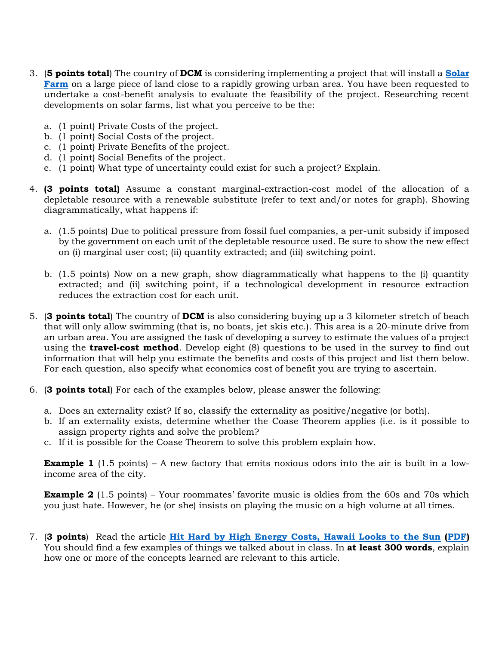- 3. (**5 points total**) The country of **DCM** is considering implementing a project that will install a **[Solar](https://chariotenergy.com/chariot-university/solar-farms/)  [Farm](https://chariotenergy.com/chariot-university/solar-farms/)** on a large piece of land close to a rapidly growing urban area. You have been requested to undertake a cost-benefit analysis to evaluate the feasibility of the project. Researching recent developments on solar farms, list what you perceive to be the:
	- a. (1 point) Private Costs of the project.
	- b. (1 point) Social Costs of the project.
	- c. (1 point) Private Benefits of the project.
	- d. (1 point) Social Benefits of the project.
	- e. (1 point) What type of uncertainty could exist for such a project? Explain.
- 4. **(3 points total)** Assume a constant marginal-extraction-cost model of the allocation of a depletable resource with a renewable substitute (refer to text and/or notes for graph). Showing diagrammatically, what happens if:
	- a. (1.5 points) Due to political pressure from fossil fuel companies, a per-unit subsidy if imposed by the government on each unit of the depletable resource used. Be sure to show the new effect on (i) marginal user cost; (ii) quantity extracted; and (iii) switching point.
	- b. (1.5 points) Now on a new graph, show diagrammatically what happens to the (i) quantity extracted; and (ii) switching point, if a technological development in resource extraction reduces the extraction cost for each unit.
- 5. (**3 points total**) The country of **DCM** is also considering buying up a 3 kilometer stretch of beach that will only allow swimming (that is, no boats, jet skis etc.). This area is a 20-minute drive from an urban area. You are assigned the task of developing a survey to estimate the values of a project using the **travel-cost method**. Develop eight (8) questions to be used in the survey to find out information that will help you estimate the benefits and costs of this project and list them below. For each question, also specify what economics cost of benefit you are trying to ascertain.
- 6. (**3 points total**) For each of the examples below, please answer the following:
	- a. Does an externality exist? If so, classify the externality as positive/negative (or both).
	- b. If an externality exists, determine whether the Coase Theorem applies (i.e. is it possible to assign property rights and solve the problem?
	- c. If it is possible for the Coase Theorem to solve this problem explain how.

**Example 1** (1.5 points) – A new factory that emits noxious odors into the air is built in a lowincome area of the city.

**Example 2** (1.5 points) – Your roommates' favorite music is oldies from the 60s and 70s which you just hate. However, he (or she) insists on playing the music on a high volume at all times.

7. (**3 points**) Read the article **[Hit Hard by High Energy Costs, Hawaii Looks to the Sun](file:///C:/aamccornac/AECON275Summer22/Exams/Exam1/Hit%20Hard%20by%20High%20Energy%20Costs,%20Hawaii%20Looks%20to%20the%20Sun.pdf) [\(PDF\)](Hit%20Hard%20by%20High%20Energy%20Costs,%20Hawaii%20Looks%20to%20the%20Sun.pdf)** You should find a few examples of things we talked about in class. In **at least 300 words**, explain how one or more of the concepts learned are relevant to this article.